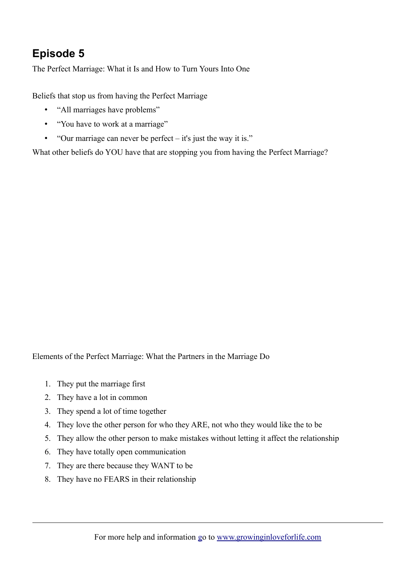## **Episode 5**

The Perfect Marriage: What it Is and How to Turn Yours Into One

Beliefs that stop us from having the Perfect Marriage

- "All marriages have problems"
- "You have to work at a marriage"
- "Our marriage can never be perfect it's just the way it is."

What other beliefs do YOU have that are stopping you from having the Perfect Marriage?

Elements of the Perfect Marriage: What the Partners in the Marriage Do

- 1. They put the marriage first
- 2. They have a lot in common
- 3. They spend a lot of time together
- 4. They love the other person for who they ARE, not who they would like the to be
- 5. They allow the other person to make mistakes without letting it affect the relationship
- 6. They have totally open communication
- 7. They are there because they WANT to be
- 8. They have no FEARS in their relationship